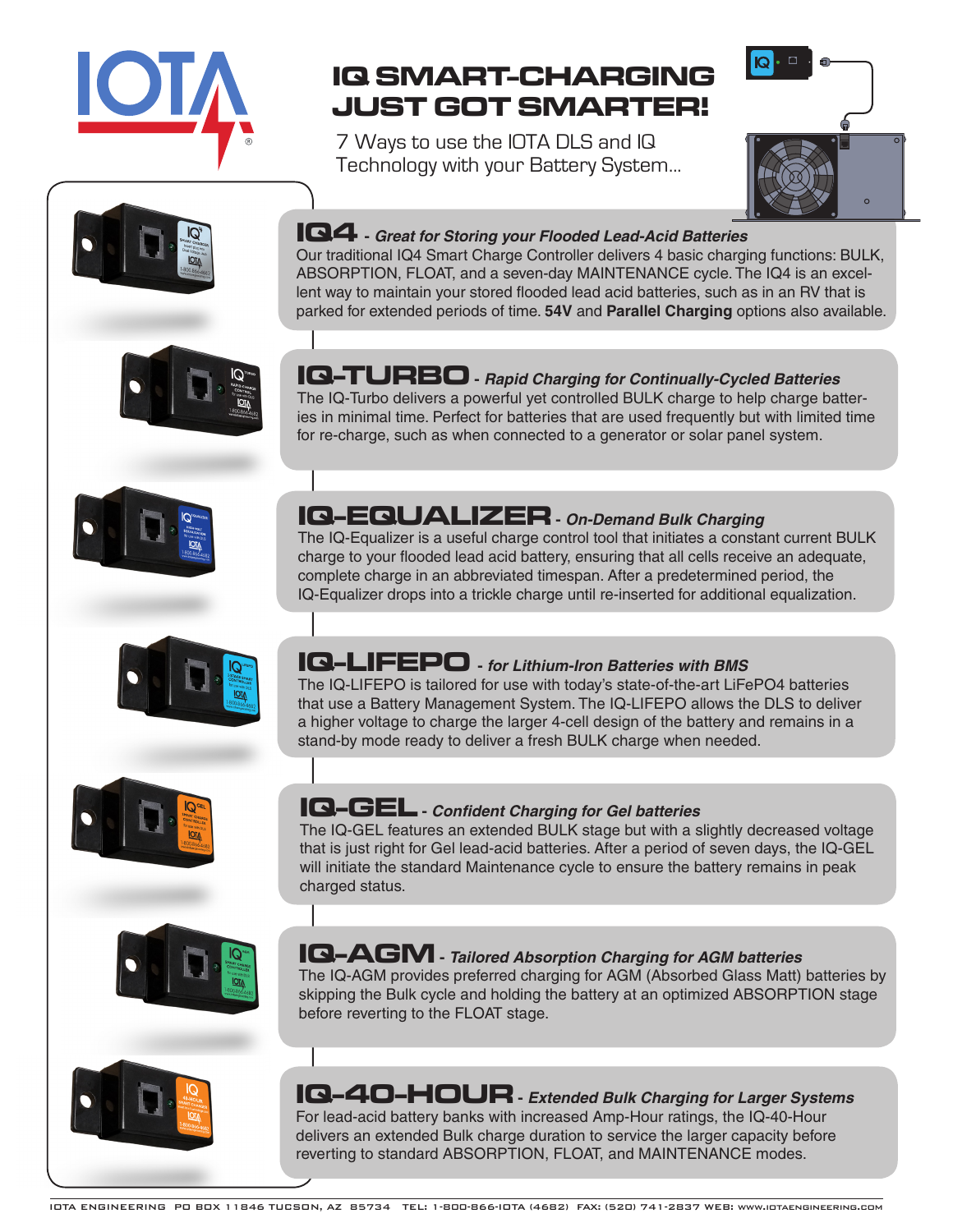

# **IQ SMART-CHARGING JUST GOT SMARTER!**

7 Ways to use the IOTA DLS and IQ Technology with your Battery System...









The IQ-Turbo delivers a powerful yet controlled BULK charge to help charge batteries in minimal time. Perfect for batteries that are used frequently but with limited time for re-charge, such as when connected to a generator or solar panel system.

The IQ-Equalizer is a useful charge control tool that initiates a constant current BULK charge to your flooded lead acid battery, ensuring that all cells receive an adequate, complete charge in an abbreviated timespan. After a predetermined period, the IQ-Equalizer drops into a trickle charge until re-inserted for additional equalization.

Our traditional IQ4 Smart Charge Controller delivers 4 basic charging functions: BULK, ABSORPTION, FLOAT, and a seven-day MAINTENANCE cycle. The IQ4 is an excellent way to maintain your stored flooded lead acid batteries, such as in an RV that is parked for extended periods of time. **54V** and **Parallel Charging** options also available.







# **IQ-LIFEPO -** *for Lithium-Iron Batteries with BMS*

**IQ-EQUALIZER -** *On-Demand Bulk Charging*

The IQ-LIFEPO is tailored for use with today's state-of-the-art LiFePO4 batteries that use a Battery Management System. The IQ-LIFEPO allows the DLS to deliver a higher voltage to charge the larger 4-cell design of the battery and remains in a stand-by mode ready to deliver a fresh BULK charge when needed.

### **IQ-GEL -** *Confident Charging for Gel batteries*

The IQ-GEL features an extended BULK stage but with a slightly decreased voltage that is just right for Gel lead-acid batteries. After a period of seven days, the IQ-GEL will initiate the standard Maintenance cycle to ensure the battery remains in peak charged status.



## **IQ-AGM -** *Tailored Absorption Charging for AGM batteries*

The IQ-AGM provides preferred charging for AGM (Absorbed Glass Matt) batteries by skipping the Bulk cycle and holding the battery at an optimized ABSORPTION stage before reverting to the FLOAT stage.



delivers an extended Bulk charge duration to service the larger capacity before reverting to standard ABSORPTION, FLOAT, and MAINTENANCE modes.